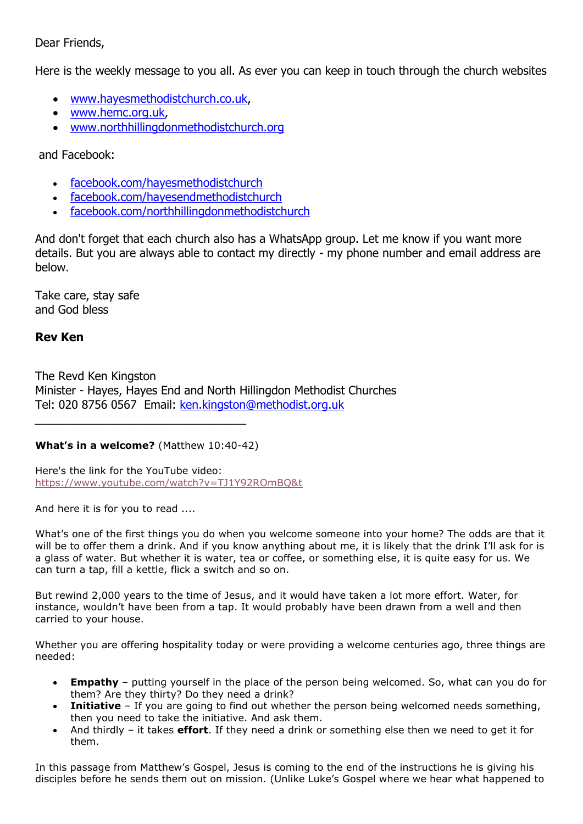# Dear Friends,

Here is the weekly message to you all. As ever you can keep in touch through the church websites

- [www.hayesmethodistchurch.co.uk,](http://www.hayesmethodistchurch.co.uk/)
- [www.hemc.org.uk,](http://www.hemc.org.uk/)
- [www.northhillingdonmethodistchurch.org](http://www.northhillingdonmethodistchurch.org/)

and Facebook:

- [facebook.com/hayesmethodistchurch](http://www.facebook.com/hayesmethodistchurch)
- [facebook.com/hayesendmethodistchurch](http://www.facebook.com/hayesendmethodistchurch)
- [facebook.com/northhillingdonmethodistchurch](http://www.facebook.com/northhillingdonmethodistchurch)

And don't forget that each church also has a WhatsApp group. Let me know if you want more details. But you are always able to contact my directly - my phone number and email address are below.

Take care, stay safe and God bless

# **Rev Ken**

The Revd Ken Kingston Minister - Hayes, Hayes End and North Hillingdon Methodist Churches Tel: 020 8756 0567 Email: [ken.kingston@methodist.org.uk](mailto:ken.kingston@methodist.org.uk)

# **What's in a welcome?** (Matthew 10:40-42)

Here's the link for the YouTube video: <https://www.youtube.com/watch?v=TJ1Y92ROmBQ&t>

And here it is for you to read ....

What's one of the first things you do when you welcome someone into your home? The odds are that it will be to offer them a drink. And if you know anything about me, it is likely that the drink I'll ask for is a glass of water. But whether it is water, tea or coffee, or something else, it is quite easy for us. We can turn a tap, fill a kettle, flick a switch and so on.

But rewind 2,000 years to the time of Jesus, and it would have taken a lot more effort. Water, for instance, wouldn't have been from a tap. It would probably have been drawn from a well and then carried to your house.

Whether you are offering hospitality today or were providing a welcome centuries ago, three things are needed:

- **Empathy** putting yourself in the place of the person being welcomed. So, what can you do for them? Are they thirty? Do they need a drink?
- **Initiative** If you are going to find out whether the person being welcomed needs something, then you need to take the initiative. And ask them.
- And thirdly it takes **effort**. If they need a drink or something else then we need to get it for them.

In this passage from Matthew's Gospel, Jesus is coming to the end of the instructions he is giving his disciples before he sends them out on mission. (Unlike Luke's Gospel where we hear what happened to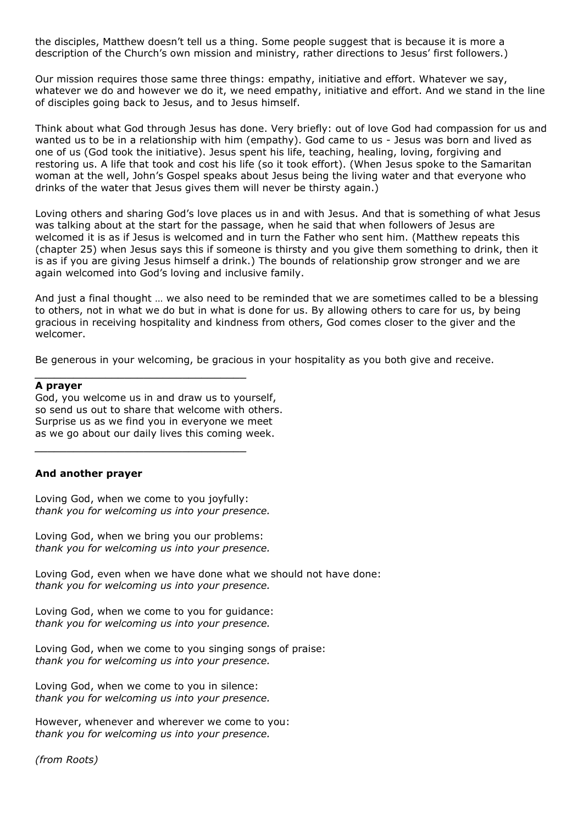the disciples, Matthew doesn't tell us a thing. Some people suggest that is because it is more a description of the Church's own mission and ministry, rather directions to Jesus' first followers.)

Our mission requires those same three things: empathy, initiative and effort. Whatever we say, whatever we do and however we do it, we need empathy, initiative and effort. And we stand in the line of disciples going back to Jesus, and to Jesus himself.

Think about what God through Jesus has done. Very briefly: out of love God had compassion for us and wanted us to be in a relationship with him (empathy). God came to us - Jesus was born and lived as one of us (God took the initiative). Jesus spent his life, teaching, healing, loving, forgiving and restoring us. A life that took and cost his life (so it took effort). (When Jesus spoke to the Samaritan woman at the well, John's Gospel speaks about Jesus being the living water and that everyone who drinks of the water that Jesus gives them will never be thirsty again.)

Loving others and sharing God's love places us in and with Jesus. And that is something of what Jesus was talking about at the start for the passage, when he said that when followers of Jesus are welcomed it is as if Jesus is welcomed and in turn the Father who sent him. (Matthew repeats this (chapter 25) when Jesus says this if someone is thirsty and you give them something to drink, then it is as if you are giving Jesus himself a drink.) The bounds of relationship grow stronger and we are again welcomed into God's loving and inclusive family.

And just a final thought … we also need to be reminded that we are sometimes called to be a blessing to others, not in what we do but in what is done for us. By allowing others to care for us, by being gracious in receiving hospitality and kindness from others, God comes closer to the giver and the welcomer.

Be generous in your welcoming, be gracious in your hospitality as you both give and receive.

#### **A prayer**

God, you welcome us in and draw us to yourself, so send us out to share that welcome with others. Surprise us as we find you in everyone we meet as we go about our daily lives this coming week.

## **And another prayer**

Loving God, when we come to you joyfully: *thank you for welcoming us into your presence.*

Loving God, when we bring you our problems: *thank you for welcoming us into your presence.*

Loving God, even when we have done what we should not have done: *thank you for welcoming us into your presence.*

Loving God, when we come to you for guidance: *thank you for welcoming us into your presence.*

Loving God, when we come to you singing songs of praise: *thank you for welcoming us into your presence.* 

Loving God, when we come to you in silence: *thank you for welcoming us into your presence.*

However, whenever and wherever we come to you: *thank you for welcoming us into your presence.* 

*(from Roots)*